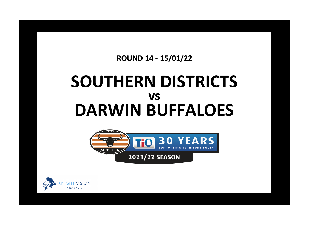## **ROUND 14 - 15/01/22**

## **SOUTHERN DISTRICTS DARWIN BUFFALOES vs**



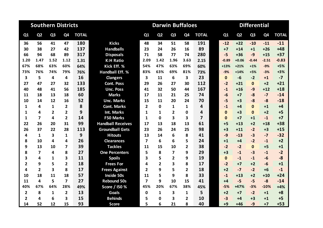| <b>Southern Districts</b> |                |                         |                |              |                          |                         | <b>Darwin Buffaloes</b> |                |                |                         | <b>Differential</b> |                |                |                |              |  |  |
|---------------------------|----------------|-------------------------|----------------|--------------|--------------------------|-------------------------|-------------------------|----------------|----------------|-------------------------|---------------------|----------------|----------------|----------------|--------------|--|--|
| Q1                        | Q <sub>2</sub> | Q <sub>3</sub>          | Q4             | <b>TOTAL</b> |                          | Q1                      | Q <sub>2</sub>          | Q3             | Q <sub>4</sub> | <b>TOTAL</b>            | Q1                  | Q <sub>2</sub> | Q <sub>3</sub> | Q <sub>4</sub> | <b>TOTAL</b> |  |  |
| 36                        | 56             | 41                      | 47             | 180          | <b>Kicks</b>             | 48                      | 34                      | 51             | 58             | 191                     | $-12$               | $+22$          | $-10$          | $-11$          | $-11$        |  |  |
| 30                        | 38             | 27                      | 42             | 137          | <b>Handballs</b>         | 23                      | 24                      | 26             | 16             | 89                      | $+7$                | $+14$          | $+1$           | $+26$          | $+48$        |  |  |
| 66                        | 94             | 68                      | 89             | 317          | <b>Disposals</b>         | 71                      | 58                      | 77             | 74             | 280                     | $-5$                | $+36$          | $-9$           | $+15$          | $+37$        |  |  |
| 1.20                      | 1.47           | 1.52                    | 1.12           | 1.31         | <b>K:H Ratio</b>         | 2.09                    | 1.42                    | 1.96           | 3.63           | 2.15                    | $-0.89$             | $+0.06$        | $-0.44$        | $-2.51$        | $-0.83$      |  |  |
| 67%                       | 68%            | 63%                     | 60%            | 64%          | Kick Eff. %              | 54%                     | 47%                     | 63%            | 69%            | 60%                     | $+13%$              | $+21%$         | $+1%$          | $-9%$          | $+5%$        |  |  |
| 73%                       | 76%            | 74%                     | 79%            | 76%          | <b>Handball Eff. %</b>   | 83%                     | 63%                     | 69%            | 81%            | 73%                     | $-9%$               | $+14%$         | $+5%$          | $-3%$          | $+3%$        |  |  |
| 3                         | 5              | 4                       | 4              | 16           | <b>Clangers</b>          | 3                       | 11                      | 6              | 3              | 23                      | $\mathbf 0$         | $-6$           | $-2$           | $+1$           | $-7$         |  |  |
| 27                        | 47             | 27                      | 32             | 133          | <b>Cont. Poss</b>        | 29                      | 26                      | 27             | 30             | 112                     | $-2$                | $+21$          | $\mathbf{0}$   | $+2$           | $+21$        |  |  |
| 40                        | 48             | 41                      | 56             | 185          | <b>Unc. Poss</b>         | 41                      | 32                      | 50             | 44             | 167                     | $-1$                | $+16$          | $-9$           | $+12$          | $+18$        |  |  |
| 11                        | 18             | 13                      | 18             | 60           | <b>Marks</b>             | 17                      | 11                      | 21             | 25             | 74                      | $-6$                | $+7$           | $-8$           | $-7$           | $-14$        |  |  |
| 10                        | 14             | 12                      | 16             | 52           | <b>Unc. Marks</b>        | 15                      | 11                      | 20             | 24             | 70                      | $-5$                | $+3$           | $-8$           | $-8$           | $-18$        |  |  |
| 1                         | 4              | 1                       | $\mathbf{2}$   | 8            | <b>Cont. Marks</b>       | $\overline{2}$          | $\Omega$                | 1              | 1              | 4                       | $-1$                | $+4$           | $\Omega$       | $+1$           | $+4$         |  |  |
| 1                         | 4              | $\overline{2}$          | $\overline{2}$ | 9            | Int. Marks               | 1                       | 1                       | 2              | 0              | 4                       | $\bf{0}$            | $+3$           | $\mathbf 0$    | $+2$           | $+5$         |  |  |
| 1                         | $\overline{7}$ | 4                       | $\overline{2}$ | 14           | <b>F50 Marks</b>         | $\mathbf{1}$            | $\Omega$                | 3              | 3              | $\overline{\mathbf{z}}$ | $\mathbf{0}$        | $+7$           | $+1$           | $-1$           | $+7$         |  |  |
| 22                        | 26             | 20                      | 31             | 99           | <b>Handball Receives</b> | 17                      | 13                      | 18             | 13             | 61                      | $+5$                | $+13$          | $+2$           | $+18$          | $+38$        |  |  |
| 26                        | 37             | 22                      | 28             | 113          | <b>Groundball Gets</b>   | 23                      | 26                      | 24             | 25             | 98                      | $+3$                | $+11$          | $-2$           | $+3$           | $+15$        |  |  |
| 4                         | $\mathbf{1}$   | $\overline{\mathbf{3}}$ | 1              | 9            | <b>Hitouts</b>           | 13                      | 14                      | 6              | 8              | 41                      | $-9$                | $-13$          | $-3$           | $-7$           | $-32$        |  |  |
| 8                         | 10             | 4                       | 4              | 26           | <b>Clearances</b>        | $\overline{\mathbf{z}}$ | 6                       | 6              | 5              | 24                      | $+1$                | $+4$           | $-2$           | $-1$           | $+2$         |  |  |
| 9                         | 13             | 10                      | 7              | 39           | <b>Tackles</b>           | 11                      | 15                      | 10             | 2              | 38                      | $-2$                | $-2$           | $\Omega$       | $+5$           | $+1$         |  |  |
| 8                         | 7              | 4                       | 8              | 27           | <b>One Percenters</b>    | 5                       | 8                       | 7              | 9              | 29                      | $+3$                | $-1$           | $-3$           | $-1$           | $-2$         |  |  |
| 3                         | 4              | 1                       | 3              | 11           | <b>Spoils</b>            | 3                       | 5                       | $\overline{2}$ | 9              | 19                      | $\mathbf{0}$        | $-1$           | $-1$           | $-6$           | $-8$         |  |  |
| $\overline{2}$            | 9              | 5                       | $\mathbf{2}$   | 18           | <b>Frees For</b>         | 4                       | $\overline{2}$          | 3              | 8              | 17                      | $-2$                | $+7$           | $+2$           | $-6$           | $+1$         |  |  |
| 4                         | $\overline{2}$ | 3                       | 8              | 17           | <b>Frees Against</b>     | $\overline{2}$          | 9                       | 5              | $\overline{2}$ | 18                      | $+2$                | $-7$           | $-2$           | $+6$           | $-1$         |  |  |
| 10                        | 18             | 11                      | 18             | 57           | <b>Inside 50s</b>        | 11                      | 5                       | 9              | 8              | 33                      | $-1$                | $+13$          | $+2$           | $+10$          | $+24$        |  |  |
| 11                        | 4              | 5                       | $\overline{7}$ | 27           | <b>Rebound 50s</b>       | $\overline{7}$          | 9                       | 10             | 15             | 41                      | $+4$                | $-5$           | $-5$           | $-8$           | $-14$        |  |  |
| 40%                       | 67%            | 64%                     | 28%            | 49%          | Score / 150 %            | 45%                     | 20%                     | 67%            | 38%            | 45%                     | $-5%$               | +47%           | $-3%$          | $-10%$         | $+4%$        |  |  |
| $\overline{\mathbf{2}}$   | 8              | 1                       | $\overline{2}$ | 13           | <b>Goals</b>             | $\mathbf 0$             | $\mathbf{1}$            | 3              | $\mathbf 1$    | 5                       | $+2$                | $+7$           | $-2$           | $+1$           | $+8$         |  |  |
| $\overline{2}$            | 4              | 6                       | 3              | 15           | <b>Behinds</b>           | 5                       | $\mathbf{0}$            | 3              | $\overline{2}$ | 10                      | $-3$                | $+4$           | $+3$           | $+1$           | $+5$         |  |  |
| 14                        | 52             | 12                      | 15             | 93           | <b>Score</b>             | 5                       | 6                       | 21             | 8              | 40                      | $+9$                | $+46$          | $-9$           | $+7$           | $+53$        |  |  |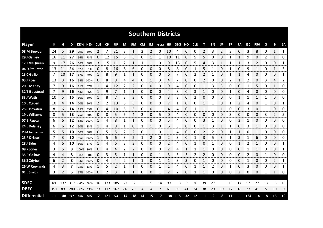| <b>Southern Districts</b> |     |       |       |       |             |                |             |     |       |                |      |      |                |       |       |       |            |          |      |           |              |              |       |              |      |              |               |
|---------------------------|-----|-------|-------|-------|-------------|----------------|-------------|-----|-------|----------------|------|------|----------------|-------|-------|-------|------------|----------|------|-----------|--------------|--------------|-------|--------------|------|--------------|---------------|
| <b>Player</b>             | К   |       | D     |       | KE% HE% CLG |                | CP          | UP  | М     | UM             | CM   |      | IM F50M HR GBG |       |       | но    | <b>CLR</b> | т        | 1%   | <b>SP</b> | FF           | FA           | 150   | <b>R50</b>   | G    | в            | <b>SA</b>     |
| 08 M Bowden               | 24  | 5.    | 29    | 79%   | 80%         | 2              | 7           | 21  | 3     | 1              | 2    | 2    | 0              | 10    | 4     | 0     | 0          | 2        | 3    | 2         | 3            | 0            | 3     | 8            | 0    | $\mathbf{1}$ | $\mathbf{1}$  |
| 29 J Ganley               | 16  | 11    | 27    | 56%   | 73%         | 0              | 12          | 15  | 5     | 5              | 0    | 1    | 1              | 10    | 11    | 0     | 5          | 5        | 0    | 0         | $\mathbf{1}$ | $\mathbf 1$  | 9     | 0            | 2    | 1            | 0             |
| 17 J McQueen              | 9   | 17    | 26    | 56%   | 88%         | 3              | 15          | 11  | 2     | 1              | 1    | 1    | 0              | 9     | 13    | 0     | 5          | 4        | 3    | 1         | 1            | 1            | 3     | 2            | 0    | 0            | 1             |
| 04 D Staunton             | 13  | 11    | 24    | 62%   | 91%         | 0              | 8           | 16  | 6     | 6              | 0    | 0    | 0              | 8     | 8     | 0     | 1          | 5        | 1    | 0         | 1            | 0            | 9     | 1            | 0    | $\mathbf{1}$ | 3             |
| 13 C Gallio               | 7   | 10    | 17    | 57%   | 70%         | $\mathbf{1}$   | 8           | 9   | 1     | 1              | 0    | 0    | 0              | 6     | 7     | 0     | 2          | 2        | 1    | 0         | 1            | $\mathbf{1}$ | 4     | 0            | 0    | 0            | 1             |
| 03 J Ross                 | 13  | 3     | 16    | 54%   | 100%        | 0              | 8           | 8   | 4     | 4              | 0    | 1    | 3              | 4     | 7     | 0     | 0          | 2        | 0    | 0         | 2            | $\mathbf 1$  | 2     | 0            | 3    | 4            | 2             |
| 20 E Maney                | 7   | 9     | 16    | 71%   | 67%         | 1              | 4           | 12  | 2     | $\overline{2}$ | 0    | 0    | 0              | 9     | 4     | 0     | 0          | 1        | 3    | 3         | 0            | 0            |       | 5            | 0    | 1            | 0             |
| <b>32 T Boustead</b>      | 7   | 9     | 16    | 43%   | 56%         | $\mathbf{1}$   | 9           | 7   | 1     | 1              | 0    | 0    | 0              | 4     | 8     | 0     | 3          | 1        | 0    | 0         | 1            | 0            | 4     | 0            | 0    | 0            | 0             |
| 33 J Watts                | 10  | 5     | 15    | 60%   | 80%         | $\mathbf{1}$   | 8           | 7   | 3     | 3              | 0    | 0    | 0              | 3     | 8     | 0     | 2          | 0        | 0    | 0         | 0            | $\mathbf{1}$ |       | $\mathbf{1}$ | 1    | $\Omega$     | 0             |
| 10 L Ogden                | 10  | 4     | 14    | 70%   | 50%         | $\overline{2}$ | 2           | 13  | 5     | 5              | 0    | 0    | 0              | 7     | 1     | 0     | 0          | 1        | 1    | 0         | 1            | 2            | 4     | 0            | 1    | 0            | 1             |
| 25 C Bowden               | 8   | 6     | 14    | 75%   | 83%         | 0              | 4           | 10  | 5     | 5              | 0    | 0    | 1              | 4     | 4     | 0     |            | 1        |      | 1         | 0            | 0            | 3     | 0            |      | 0            | 0             |
| 19 L Williams             | 8   | 5     | 13    | 75%   | 40%         | 0              | 8           | 5   | 6     | 4              | 2    | 0    | 5              | 0     | 4     | 0     | 0          | 0        | 0    | 0         | 3            | 0            | 0     | 0            | 3    | 2            | 5             |
| 07 B Rusca                | 6   | 6     | 12    |       | 83% 100%    |                | 4           | 8   | 1     | 1              | 0    | 0    | 0              | 5     | 4     | 0     | 0          | 3        |      | 0         | 0            | 3            |       | 0            | 0    | 0            | 0             |
| 24 L Delahey              | 6   | 6     | 12    | 50%   | 83%         | 1              | 4           | 8   |       | 0              |      | 1    | 0              | 6     | 3     | 0     | 0          | 1        | 3    | 1         | 1            | 0            | 3     | 1            | 0    | 0            | 0             |
| 15 M Pemberton            | 5   | 5     | 10    | 60%   | 80%         | 0              | 5           | 5   | 2     | 2              | 0    |      | 0              |       | 4     | 0     | 0          |          |      | 0         |              | 1            | O     |              | 0    | 0            | 0             |
| 23 F Driscoll             | 7   | 3     | 10    | 86%   | 100%        |                | 5           | 6   | 3     | 2              | 1    | 2    | 0              | 2     | 3     | 0     |            | 3        | 5    | 3         |              | 3            |       | 6            | 0    | 0            | 0<br>ononono. |
| 28 J Elder                | 4   | 6     | 10    | 50%   | 67%         | 1              | 4           | 6   | 3     | 3              | 0    | 0    | 0              | 2     | 4     | 0     |            | $\Omega$ |      | 0         | 0            | 1            | 2     | 1            | 0    | 0            | 1             |
| 09 K Jones                | 3   | 5     | 8     | 100%  | 80%         | 0              | 4           | 4   | 2     | 2              | 0    | 0    | 0              | 2     | 4     |       |            |          | 0    | 0         | 0            | 0            |       | 1            | 0    | 0            | 1             |
| 35 P Gallow               | 4   | 4     | 8     | 50%   | 50%         | 0              | 3           | 5   | 1     |                | 0    | 0    | 1              | 3     | 3     | 5     | 2          | 2        | 0    | 0         | 0            | 0            | 2     | 0            |      | 0            | 0             |
| 36 Z Zdybel               | 6   | 2     | 8     |       | 33% 100%    | 0              | 4           | 4   | 2     | 1              | 1    | 0    | 1              | 1     | 3     | 3     | 0          | 1        | 0    | 0         | 0            | 0            | 1     | 0            | 0    | 2            | 1             |
| 26 W Rowlands             | 4   | 3     | 7     | 75%   | 33%         | 1              | 5           | 2   | 1     | 1              | 0    | 0    | 1              | 1     | 4     | 0     |            | 1        | 2    | 0         |              | 0            | 3     | 0            | 0    | 0            | 1             |
| 01 L Smith                | 3   | 2     | 5     |       | 67% 100%    | 0              | 2           | 3   | 1     | 1              | 0    | 0    | 1              | 2     | 2     | 0     | 1          | 1        | 0    | 0         | 0            | 2            | 0     | 0            | 1    | 1            | 0             |
|                           |     |       |       |       |             |                |             |     |       |                |      |      |                |       |       |       |            |          |      |           |              |              |       |              |      |              |               |
| <b>SDFC</b>               | 180 | 137   | 317   |       | 64% 76%     | 16             | 133         | 185 | 60    | 52             | 8    | 9    | 14             | 99    | 113   | 9     | 26         | 39       | 27   | 11        | 18           | 17           | 57    | 27           | 13   | 15           | 18            |
| <b>DBFC</b>               | 191 | 89    | 280   |       | 60% 73%     | 23             | 112 167     |     | 74    | 70             | 4    | 4    | 7              | 61    | 98    | 41    | 24         | 38       | 29   | 19        | 17           | 18           | 33    | 41           | 5    | 10           | 9             |
| <b>Differential</b>       | -11 | $+48$ | $+37$ | $+5%$ | $+3%$       | -7             | $+21$ $+18$ |     | $-14$ | $-18$          | $+4$ | $+5$ | $+7$           | $+38$ | $+15$ | $-32$ | $+2$       | $+1$     | $-2$ | -8        | $+1$         | $-1$         | $+24$ | $-14$        | $+8$ | $+5$         | $+9$          |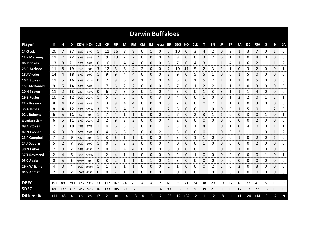| <b>Darwin Buffaloes</b> |       |       |       |           |             |      |           |         |             |    |      |    |                |       |       |       |            |      |      |           |      |                |       |            |    |                |                |
|-------------------------|-------|-------|-------|-----------|-------------|------|-----------|---------|-------------|----|------|----|----------------|-------|-------|-------|------------|------|------|-----------|------|----------------|-------|------------|----|----------------|----------------|
| <b>Player</b>           | К     |       | D     |           | KE% HE% CLG |      | <b>CP</b> | UP      | М           | UM | CM   |    | IM F50M HR GBG |       |       | но    | <b>CLR</b> | т    | 1%   | <b>SP</b> | FF   | FA             | 150   | <b>R50</b> | G  | В              | <b>SA</b>      |
| 14 G Lok                | 20    |       | 27    | 55%       | 57%         | 1    | 11        | 16      | 8           | 8  | 0    | 1  | 0              | 7     | 10    | 0     | 3          | 4    | 2    | 0         | 2    | 1              | 3     | 7          | 0  | $\mathbf{1}$   | 0              |
| 12 K Maroney            | 11    | 11    | 22    | 82%       | 64%         | 2    | 9         | 13      | 7           | 7  | 0    | 0  | 0              | 4     | 9     | 0     | 0          | 3    |      | 6         | 1    | 1              | 0     | 4          | 0  | 0              | 0              |
| 06 J Stokes             | 13    | 8     | 21    | 69%       | 88%         | 0    | 10        | 11      | 4           | 4  | 0    | 0  | 0              | 5     | 7     | 0     | 4          | 3    | 1    | 1         | 4    | 1              | 6     | 2          | 1  | $\mathbf{1}$   | $\overline{2}$ |
| 25 B Archard            | 11    | 8     | 19    | 55%       | 63%         | 3    | 12        | 6       | 6           | 4  | 2    | 0  | 0              | 2     | 10    | 41    | 5          | 2    | 3    | 3         | 1    | 0              | 3     | 2          | 0  | 0              | 1              |
| 18 J Vrodos             | 14    | 4     | 18    | 57%       | 50%         | 1    | 9         | 9       | 4           | 4  | 0    | 0  | 0              | 3     | 9     | 0     | 5          | 5    | 1    | 0         | 0    | $\mathbf{1}$   | 5     | 0          | 0  | 0              | 0              |
| 10 B Stokes             | 11    | 5     | 16    | 82%       | 100%        | 0    | 7         | 9       | 5           | 4  | 1    | 1  | 0              | 4     | 5.    | 0     | 1          | 5    | 2    | 1         | 1    | 1              | 0     | 5          | 0  | 0              | 0              |
| <b>15 L McDonald</b>    | 9     | 5     | 14    | 78%       | 60%         | 1    | 7         | 6       | 2           | 2  | 0    | 0  | 0              | 3     | 7     | 0     |            | 2    | 2    | 1         | 1    | 3              | 0     | 3          | 0  | 0              | 0              |
| 20 H Brown              | 11    | 2     | 13    | 73%       | 100%        | 0    | 6         | 7       | 3           | 3  | 0    | 1  | 0              | 4     | 5     | 0     | 0          | 1    | 3    | 3         | 1    | 1              | 1     | 4          | 0  | $\Omega$       | 0              |
| 19 B Foster             | 10    | 2     | 12    |           | 30% 100%    |      | 5         |         | 5           | 5  | 0    | 0  | 3              | 0     | 4     | 0     | 0          | 1    | 0    | 0         | 1    | $\overline{2}$ | 2     | 0          | 1  | $\overline{2}$ | 1              |
| 22 K Kossack            | 8     | 4     | 12    | 63%       | 75%         | 1    | 3         | 9       | 4           | 4  | 0    | 0  | 0              | 3     | 2     | 0     | 0          | 0    | 2    | 1         | 1    | 0              | 0     | 3          | 0  | 0              | 0              |
| 35 A James              | 8     | 4     | 12    | 13%       | 100%        | 3    | 7         | 5       | 4           | 3  |      | 0  | 1              | 2     | 6     | 0     | 0          | 1    | 0    | 0         | 0    | 1              | 5     | 0          |    | 2              | 0              |
| 02 L Roberts            | 6     | 5     | 11    | 50%       | 80%         | 1    | 7         | 4       | 1           | 1  | 0    | 0  | 0              | 2     | 7     | 0     | 2          | 3    |      |           | 0    | 0              | 3     | 0          | 1  | 0              | 1              |
| 13 Jackson Clark        | 6     | 5     | 11    |           | 67% 100%    | 2    | 2         | 9       | 3           | 3  | 0    | 0  | 0              | 4     | 2     | 0     | 0          | 0    | 0    | 0         | 0    | 0              | 0     | 2          | 0  | 0              | 0              |
| 09 A Stokes             | 7     | 3     | 10    | 43%       | 67%         | 1    | 4         | 6       | 3           | 3  | 0    | 0  | 1              | 2     | 3     | 0     |            | 4    |      | 0         |      | 0              | 4     | 0          | 0  | 1              | 1              |
| 07 N Cooper             | 6     | 3     | 9     | 50%       | 33%         | 0    | 4         | 6       | 3           | 3  | 0    | 0  | 2              |       | 3     | 0     | 0          | 0    |      | 0         | 3    | 2              |       |            | 0  |                | 2              |
| 23 P Campbell           | 7     |       | 9     | 43%       | 50%         |      | 3         | 6       |             | 1  | 0    | 0  | 0              | 4     | 3     | 0     |            |      | 0    | 0         | O    |                | O     | 2<br>mmmm  | 0  | mmmmm          | 0<br>anananan  |
| 24 J Davern             | 5     | 2     | 7     | 60%       | 50%         | 1    | 0         |         | 3           | 3  | 0    | 0  | 0              | 4     | 0     | 0     | 0          |      | 0    | 0         | 0    | 0              | 0     | 2          | 0  | 0              | 0              |
| 30 N Fisher             | 7     | 0     | 7     |           | 14% #####   | 2    | 0         |         | 4           | 4  | 0    | 0  | 0              | 3     | 0     | 0     | 0          |      |      | 0         | Ω    | 1              | 0     | 1          | 0  | 0              | 0              |
| 37 T Raymond            | 2     | 4     | 6     | 50%       | 100%        |      | 2         | 4       |             |    | 0    | 0  | 0              | 0     | 2     | 0     |            | 0    | 0    | 0         | 0    | 0              | 0     | 0          |    | 0              | 1              |
| 05 C Abala              | 0     | 5     | 5     | ##### 60% |             | 0    | 3         |         |             | 1  | 0    | 1  | 0              | 1     | 3     | 0     | 0          | 0    | 0    | 0         | 0    | 0              | 0     | 0          | 0  | 0              | 0              |
| 29 K Williams           | 4     | 0     | 4     |           | 50% #####   |      | 1         | 3       |             | 1  | 0    | 0  | 0              | 2     |       | 0     | 0          | 0    | 2    | 2         | 0    | 2              | 0     | 3          | 0  | 0              | 0              |
| 04 S Ahmat              | 2     | 0     | 2     |           | 100% #####  | 0    | 0         |         | 1           | 1  | 0    | 0  | 0              | 1     | 0     | 0     | 0          | 1    | 0    | 0         | 0    | 0              | 0     | 0          | 0  | 0              | 0              |
|                         |       |       |       |           |             |      |           |         |             |    |      |    |                |       |       |       |            |      |      |           |      |                |       |            |    |                |                |
| <b>DBFC</b>             | 191   | 89    | 280   |           | 60% 73%     | 23   | 112       | 167     | 74          | 70 | 4    | 4  | 7              | 61    | 98    | 41    | 24         | 38   | 29   | 19        | 17   | 18             | 33    | 41         | 5  | 10             | 9              |
| <b>SDFC</b>             | 180   | 137   | 317   |           | 64% 76%     | 16   |           | 133 185 | 60          | 52 | 8    | 9  | 14             | 99    | 113   | 9     | 26         | 39   | 27   | 11        | 18   | 17             | 57    | 27         | 13 | 15             | 18             |
| <b>Differential</b>     | $+11$ | $-48$ | $-37$ | -5%       | 3%          | $+7$ | $-21$     | $-18$   | $+14$ $+18$ |    | $-4$ | -5 | $-7$           | $-38$ | $-15$ | $+32$ | $-2$       | $-1$ | $+2$ | $+8$      | $-1$ | $+1$           | $-24$ | $+14$      | -8 | -5             | -9             |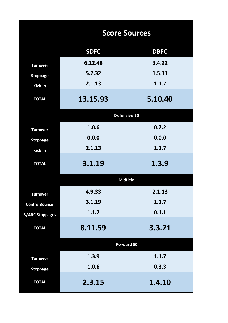|                        | <b>Score Sources</b> |             |  |  |  |  |  |  |  |  |  |
|------------------------|----------------------|-------------|--|--|--|--|--|--|--|--|--|
|                        | <b>SDFC</b>          | <b>DBFC</b> |  |  |  |  |  |  |  |  |  |
| <b>Turnover</b>        | 6.12.48              | 3.4.22      |  |  |  |  |  |  |  |  |  |
| <b>Stoppage</b>        | 5.2.32               | 1.5.11      |  |  |  |  |  |  |  |  |  |
| <b>Kick In</b>         | 2.1.13               | 1.1.7       |  |  |  |  |  |  |  |  |  |
| <b>TOTAL</b>           | 13.15.93             | 5.10.40     |  |  |  |  |  |  |  |  |  |
|                        | Defensive 50         |             |  |  |  |  |  |  |  |  |  |
| <b>Turnover</b>        | 1.0.6                | 0.2.2       |  |  |  |  |  |  |  |  |  |
| <b>Stoppage</b>        | 0.0.0                | 0.0.0       |  |  |  |  |  |  |  |  |  |
| <b>Kick In</b>         | 2.1.13               | 1.1.7       |  |  |  |  |  |  |  |  |  |
| <b>TOTAL</b>           | 3.1.19               | 1.3.9       |  |  |  |  |  |  |  |  |  |
|                        | <b>Midfield</b>      |             |  |  |  |  |  |  |  |  |  |
| <b>Turnover</b>        | 4.9.33               | 2.1.13      |  |  |  |  |  |  |  |  |  |
| <b>Centre Bounce</b>   | 3.1.19               | 1.1.7       |  |  |  |  |  |  |  |  |  |
| <b>B/ARC Stoppages</b> | 1.1.7                | 0.1.1       |  |  |  |  |  |  |  |  |  |
| <b>TOTAL</b>           | 8.11.59              | 3.3.21      |  |  |  |  |  |  |  |  |  |
|                        | <b>Forward 50</b>    |             |  |  |  |  |  |  |  |  |  |
| <b>Turnover</b>        | 1.3.9                | 1.1.7       |  |  |  |  |  |  |  |  |  |
| <b>Stoppage</b>        | 1.0.6                | 0.3.3       |  |  |  |  |  |  |  |  |  |
| <b>TOTAL</b>           | 2.3.15               | 1.4.10      |  |  |  |  |  |  |  |  |  |